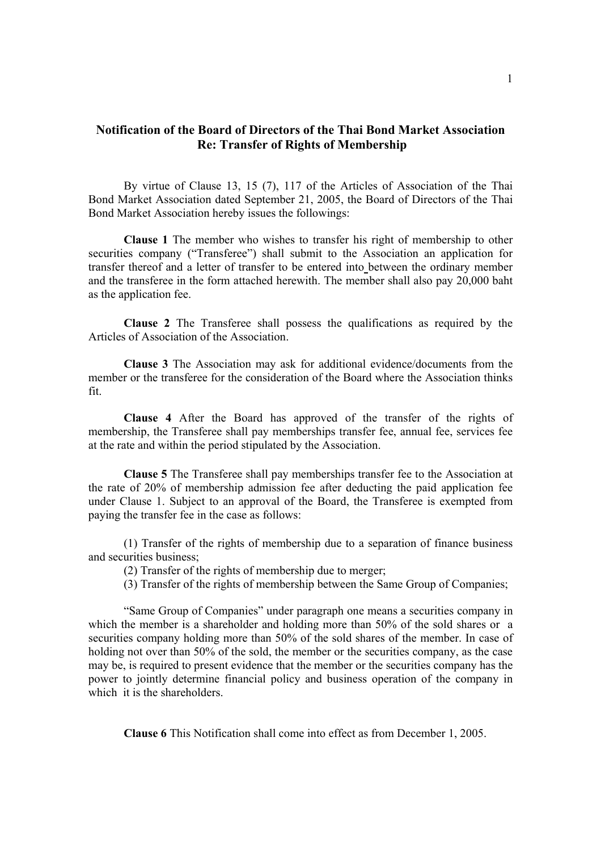## **Notification of the Board of Directors of the Thai Bond Market Association Re: Transfer of Rights of Membership**

By virtue of Clause 13, 15 (7), 117 of the Articles of Association of the Thai Bond Market Association dated September 21, 2005, the Board of Directors of the Thai Bond Market Association hereby issues the followings:

**Clause 1** The member who wishes to transfer his right of membership to other securities company ("Transferee") shall submit to the Association an application for transfer thereof and a letter of transfer to be entered into between the ordinary member and the transferee in the form attached herewith. The member shall also pay 20,000 baht as the application fee.

**Clause 2** The Transferee shall possess the qualifications as required by the Articles of Association of the Association.

 **Clause 3** The Association may ask for additional evidence/documents from the member or the transferee for the consideration of the Board where the Association thinks fit.

 **Clause 4** After the Board has approved of the transfer of the rights of membership, the Transferee shall pay memberships transfer fee, annual fee, services fee at the rate and within the period stipulated by the Association.

**Clause 5** The Transferee shall pay memberships transfer fee to the Association at the rate of 20% of membership admission fee after deducting the paid application fee under Clause 1. Subject to an approval of the Board, the Transferee is exempted from paying the transfer fee in the case as follows:

(1) Transfer of the rights of membership due to a separation of finance business and securities business;

(2) Transfer of the rights of membership due to merger;

(3) Transfer of the rights of membership between the Same Group of Companies;

 "Same Group of Companies" under paragraph one means a securities company in which the member is a shareholder and holding more than 50% of the sold shares or a securities company holding more than 50% of the sold shares of the member. In case of holding not over than 50% of the sold, the member or the securities company, as the case may be, is required to present evidence that the member or the securities company has the power to jointly determine financial policy and business operation of the company in which it is the shareholders.

 **Clause 6** This Notification shall come into effect as from December 1, 2005.